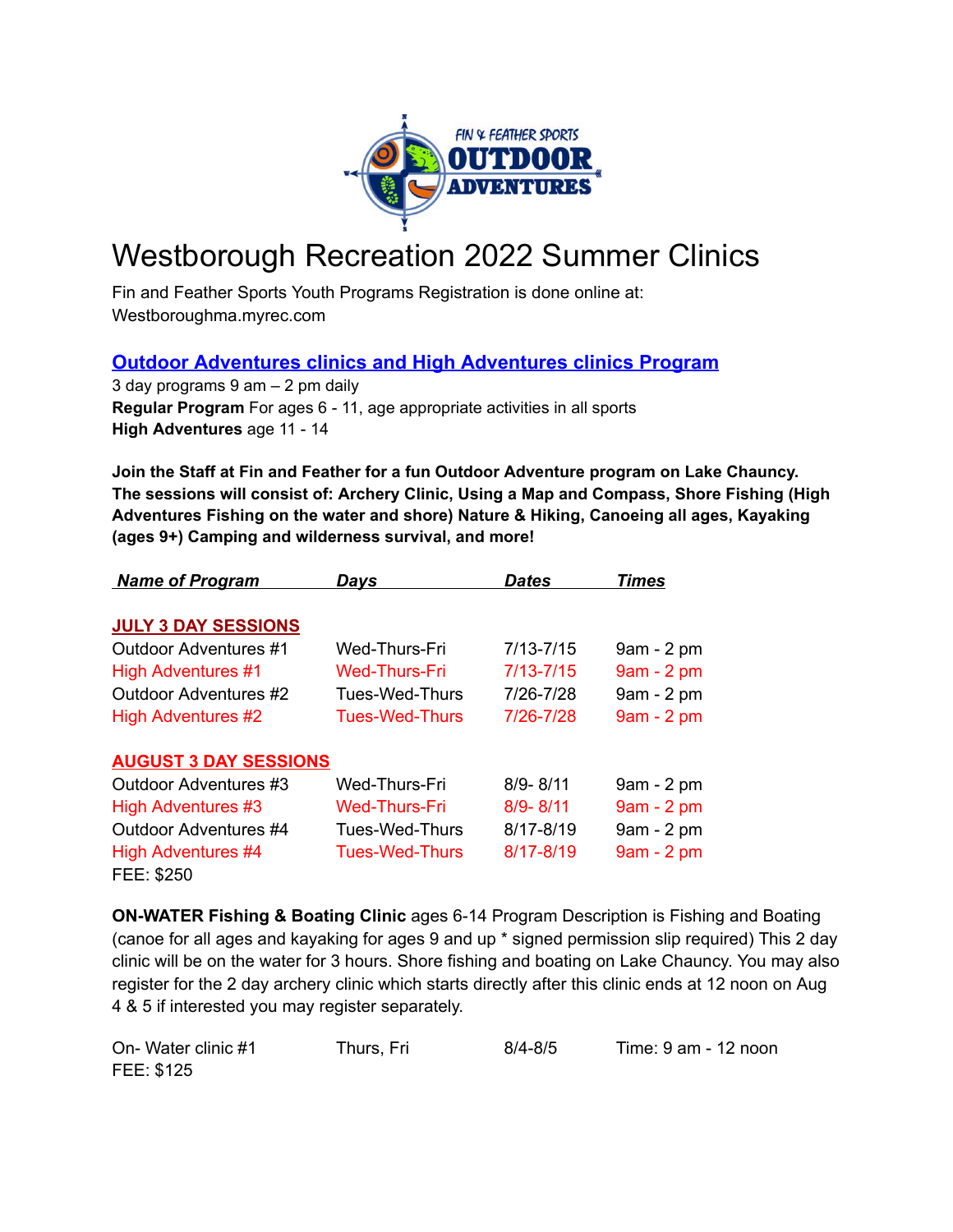

# Westborough Recreation 2022 Summer Clinics

Fin and Feather Sports Youth Programs Registration is done online at: Westboroughma.myrec.com

## **Outdoor Adventures clinics and High Adventures clinics Program**

3 day programs 9 am – 2 pm daily **Regular Program** For ages 6 - 11, age appropriate activities in all sports **High Adventures** age 11 - 14

**Join the Staff at Fin and Feather for a fun Outdoor Adventure program on Lake Chauncy. The sessions will consist of: Archery Clinic, Using a Map and Compass, Shore Fishing (High Adventures Fishing on the water and shore) Nature & Hiking, Canoeing all ages, Kayaking (ages 9+) Camping and wilderness survival, and more!**

| <b>Name of Program</b>       | Days                  | Dates         | Times       |
|------------------------------|-----------------------|---------------|-------------|
| <b>JULY 3 DAY SESSIONS</b>   |                       |               |             |
| Outdoor Adventures #1        | Wed-Thurs-Fri         | $7/13 - 7/15$ | 9am - 2 pm  |
| <b>High Adventures #1</b>    | Wed-Thurs-Fri         | $7/13 - 7/15$ | 9am - 2 pm  |
| <b>Outdoor Adventures #2</b> | Tues-Wed-Thurs        | 7/26-7/28     | 9am - 2 pm  |
| <b>High Adventures #2</b>    | <b>Tues-Wed-Thurs</b> | 7/26-7/28     | 9am - 2 pm  |
| <b>AUGUST 3 DAY SESSIONS</b> |                       |               |             |
| Outdoor Adventures #3        | Wed-Thurs-Fri         | $8/9 - 8/11$  | 9am - 2 pm  |
| <b>High Adventures #3</b>    | Wed-Thurs-Fri         | $8/9 - 8/11$  | 9am - 2 pm  |
| Outdoor Adventures #4        | Tues-Wed-Thurs        | $8/17 - 8/19$ | 9am - 2 pm  |
| High Adventures #4           | <b>Tues-Wed-Thurs</b> | 8/17-8/19     | $9am - 2pm$ |
| FEE: \$250                   |                       |               |             |

**ON-WATER Fishing & Boating Clinic** ages 6-14 Program Description is Fishing and Boating (canoe for all ages and kayaking for ages 9 and up \* signed permission slip required) This 2 day clinic will be on the water for 3 hours. Shore fishing and boating on Lake Chauncy. You may also register for the 2 day archery clinic which starts directly after this clinic ends at 12 noon on Aug 4 & 5 if interested you may register separately.

| On-Water clinic #1 | Thurs, Fri | $8/4 - 8/5$ | Time: 9 am - 12 noon |
|--------------------|------------|-------------|----------------------|
| FEE: \$125         |            |             |                      |